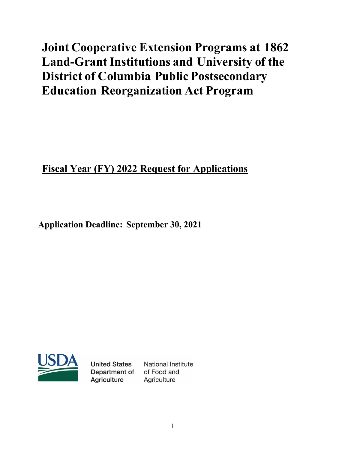# **Joint Cooperative Extension Programs at 1862 Land-Grant Institutions and University of the District of Columbia Public Postsecondary Education Reorganization Act Program**

## **Fiscal Year (FY) 2022 Request for Applications**

**Application Deadline: September 30, 2021**



**United States** Department of Agriculture

**National Institute** of Food and Agriculture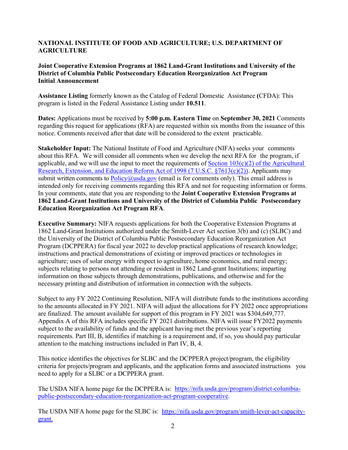#### **NATIONAL INSTITUTE OF FOOD AND AGRICULTURE; U.S. DEPARTMENT OF AGRICULTURE**

#### **Joint Cooperative Extension Programs at 1862 Land-Grant Institutions and University of the District of Columbia Public Postsecondary Education Reorganization Act Program Initial Announcement**

**Assistance Listing** formerly known as the Catalog of Federal Domestic Assistance **(**CFDA): This program is listed in the Federal Assistance Listing under **10.511**.

**Dates:** Applications must be received by **5:00 p.m. Eastern Time** on **September 30, 2021** Comments regarding this request for applications (RFA) are requested within six months from the issuance of this notice. Comments received after that date will be considered to the extent practicable.

**Stakeholder Input:** The National Institute of Food and Agriculture (NIFA) seeks your comments about this RFA. We will consider all comments when we develop the next RFA for the program, if applicable, and we will use the input to meet the requirements of Section  $103(c)(2)$  of the Agricultural [Research, Extension, and Education Reform Act of 1998](https://uscode.house.gov/view.xhtml?path=/prelim@title7/chapter103&edition=prelim) [\(7 U.S.C. §7613\(c\)\(2\)\).](https://uscode.house.gov/view.xhtml?req=(title:7%20section:7613%20edition:prelim)%20OR%20(granuleid:USC-prelim-title7-section7613)&f=treesort&edition=prelim&num=0&jumpTo=true) Applicants may submit written comments to  $Policy@usda.gov$  (email is for comments only). This email address is intended only for receiving comments regarding this RFA and not for requesting information or forms. In your comments, state that you are responding to the **Joint Cooperative Extension Programs at 1862 Land-Grant Institutions and University of the District of Columbia Public Postsecondary Education Reorganization Act Program RFA**.

**Executive Summary:** NIFA requests applications for both the Cooperative Extension Programs at 1862 Land-Grant Institutions authorized under the Smith-Lever Act section 3(b) and (c) (SLBC) and the University of the District of Columbia Public Postsecondary Education Reorganization Act Program (DCPPERA) for fiscal year 2022 to develop practical applications of research knowledge; instructions and practical demonstrations of existing or improved practices or technologies in agriculture; uses of solar energy with respect to agriculture, home economics, and rural energy; subjects relating to persons not attending or resident in 1862 Land-grant Institutions; imparting information on those subjects through demonstrations, publications, and otherwise and for the necessary printing and distribution of information in connection with the subjects.

Subject to any FY 2022 Continuing Resolution, NIFA will distribute funds to the institutions according to the amounts allocated in FY 2021. NIFA will adjust the allocations for FY 2022 once appropriations are finalized. The amount available for support of this program in FY 2021 was \$304,649,777. Appendix A of this RFA includes specific FY 2021 distributions. NIFA will issue FY2022 payments subject to the availability of funds and the applicant having met the previous year's reporting requirements. Part III, B, identifies if matching is a requirement and, if so, you should pay particular attention to the matching instructions included in Part IV, B, 4.

This notice identifies the objectives for SLBC and the DCPPERA project/program, the eligibility criteria for projects/program and applicants, and the application forms and associated instructions you need to apply for a SLBC or a DCPPERA grant.

The USDA NIFA home page for the DCPPERA is: [https://nifa.usda.gov/program/district-columbia](https://nifa.usda.gov/program/district-columbia-public-postsecondary-education-reorganization-act-program-cooperative)[public-postsecondary-education-reorganization-act-program-cooperative.](https://nifa.usda.gov/program/district-columbia-public-postsecondary-education-reorganization-act-program-cooperative)

The USDA NIFA home page for the SLBC is: [https://nifa.usda.gov/program/smith-lever-act-capacity](https://nifa.usda.gov/program/smith-lever-act-capacity-grant)[grant.](https://nifa.usda.gov/program/smith-lever-act-capacity-grant)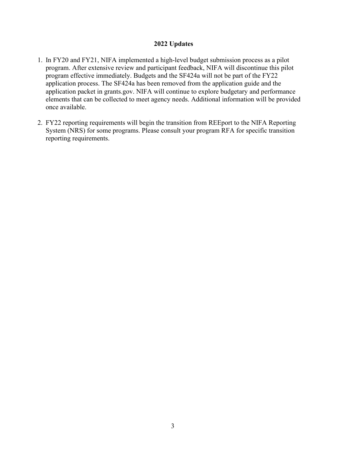#### **2022 Updates**

- 1. In FY20 and FY21, NIFA implemented a high-level budget submission process as a pilot program. After extensive review and participant feedback, NIFA will discontinue this pilot program effective immediately. Budgets and the SF424a will not be part of the FY22 application process. The SF424a has been removed from the application guide and the application packet in grants.gov. NIFA will continue to explore budgetary and performance elements that can be collected to meet agency needs. Additional information will be provided once available.
- 2. FY22 reporting requirements will begin the transition from REEport to the NIFA Reporting System (NRS) for some programs. Please consult your program RFA for specific transition reporting requirements.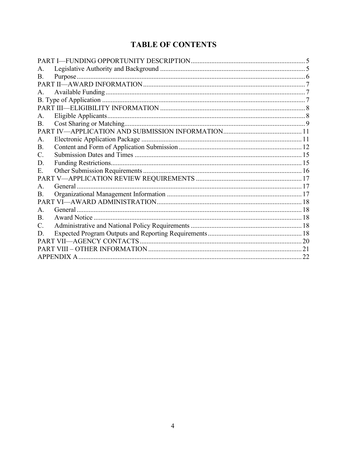## **TABLE OF CONTENTS**

| A.              |         |  |  |  |
|-----------------|---------|--|--|--|
| <b>B.</b>       |         |  |  |  |
|                 |         |  |  |  |
| A <sub>1</sub>  |         |  |  |  |
|                 |         |  |  |  |
|                 |         |  |  |  |
| A.              |         |  |  |  |
| <b>B.</b>       |         |  |  |  |
|                 |         |  |  |  |
| A.              |         |  |  |  |
| Β.              |         |  |  |  |
| $\mathcal{C}$ . |         |  |  |  |
| D.              |         |  |  |  |
| E.              |         |  |  |  |
|                 |         |  |  |  |
| $\mathsf{A}$ .  | General |  |  |  |
| B.              |         |  |  |  |
|                 |         |  |  |  |
| $\mathsf{A}$ .  |         |  |  |  |
| $\mathbf{B}$ .  |         |  |  |  |
| C.              |         |  |  |  |
| D.              |         |  |  |  |
|                 |         |  |  |  |
|                 |         |  |  |  |
|                 |         |  |  |  |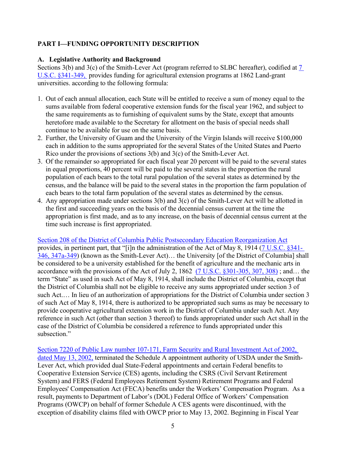## <span id="page-4-0"></span>**PART I—FUNDING OPPORTUNITY DESCRIPTION**

#### <span id="page-4-1"></span>**A. Legislative Authority and Background**

Sections 3(b) and 3(c) of the Smith-Lever Act (program referred to SLBC hereafter), codified at [7](https://uscode.house.gov/view.xhtml?req=(title:7%20section:341%20edition:prelim)%20OR%20(granuleid:USC-prelim-title7-section341)&f=treesort&edition=prelim&num=0&jumpTo=true)  [U.S.C. §341-349,](https://uscode.house.gov/view.xhtml?req=(title:7%20section:341%20edition:prelim)%20OR%20(granuleid:USC-prelim-title7-section341)&f=treesort&edition=prelim&num=0&jumpTo=true) provides funding for agricultural extension programs at 1862 Land-grant universities. according to the following formula:

- 1. Out of each annual allocation, each State will be entitled to receive a sum of money equal to the sums available from federal cooperative extension funds for the fiscal year 1962, and subject to the same requirements as to furnishing of equivalent sums by the State, except that amounts heretofore made available to the Secretary for allotment on the basis of special needs shall continue to be available for use on the same basis.
- 2. Further, the University of Guam and the University of the Virgin Islands will receive \$100,000 each in addition to the sums appropriated for the several States of the United States and Puerto Rico under the provisions of sections 3(b) and 3(c) of the Smith-Lever Act.
- 3. Of the remainder so appropriated for each fiscal year 20 percent will be paid to the several states in equal proportions, 40 percent will be paid to the several states in the proportion the rural population of each bears to the total rural population of the several states as determined by the census, and the balance will be paid to the several states in the proportion the farm population of each bears to the total farm population of the several states as determined by the census.
- 4. Any appropriation made under sections 3(b) and 3(c) of the Smith-Lever Act will be allotted in the first and succeeding years on the basis of the decennial census current at the time the appropriation is first made, and as to any increase, on the basis of decennial census current at the time such increase is first appropriated.

[Section 208 of the District of Columbia Public Postsecondary Education Reorganization Act](https://www.govinfo.gov/content/pkg/STATUTE-88/pdf/STATUTE-88-Pg1423.pdf) provides, in pertinent part, that "[i]n the administration of the Act of May 8, 1914 [\(7 U.S.C. §341-](https://uscode.house.gov/view.xhtml?req=(title:7%20section:341%20edition:prelim)%20OR%20(granuleid:USC-prelim-title7-section341)&f=treesort&edition=prelim&num=0&jumpTo=true)  [346, 347a-349\)](https://uscode.house.gov/view.xhtml?req=(title:7%20section:341%20edition:prelim)%20OR%20(granuleid:USC-prelim-title7-section341)&f=treesort&edition=prelim&num=0&jumpTo=true) (known as the Smith-Lever Act)… the University [of the District of Columbia] shall be considered to be a university established for the benefit of agriculture and the mechanic arts in accordance with the provisions of the Act of July 2, 1862 [\(7 U.S.C. §301-305, 307, 308\)](https://uscode.house.gov/view.xhtml?hl=false&edition=prelim&req=granuleid%3AUSC-prelim-title7-section301&f=treesort&num=0&saved=%7CKHRpdGxlOjcgc2VjdGlvbjozMDEgZWRpdGlvbjpwcmVsaW0pIE9SIChncmFudWxlaWQ6VVNDLXByZWxpbS10aXRsZTctc2VjdGlvbjMwMSk%3D%7CdHJlZXNvcnQ%3D%7C%7C0%7Cfalse%7Cprelim) ; and… the term "State" as used in such Act of May 8, 1914, shall include the District of Columbia, except that the District of Columbia shall not be eligible to receive any sums appropriated under section 3 of such Act.… In lieu of an authorization of appropriations for the District of Columbia under section 3 of such Act of May 8, 1914, there is authorized to be appropriated such sums as may be necessary to provide cooperative agricultural extension work in the District of Columbia under such Act. Any reference in such Act (other than section 3 thereof) to funds appropriated under such Act shall in the case of the District of Columbia be considered a reference to funds appropriated under this subsection."

[Section 7220 of Public Law number 107-171, Farm Security and Rural Investment Act of 2002,](https://www.govinfo.gov/content/pkg/PLAW-107publ171/pdf/PLAW-107publ171.pdf)  [dated May 13, 2002,](https://www.govinfo.gov/content/pkg/PLAW-107publ171/pdf/PLAW-107publ171.pdf) terminated the Schedule A appointment authority of USDA under the Smith-Lever Act, which provided dual State-Federal appointments and certain Federal benefits to Cooperative Extension Service (CES) agents, including the CSRS (Civil Servant Retirement System) and FERS (Federal Employees Retirement System) Retirement Programs and Federal Employees' Compensation Act (FECA) benefits under the Workers' Compensation Program. As a result, payments to Department of Labor's (DOL) Federal Office of Workers' Compensation Programs (OWCP) on behalf of former Schedule A CES agents were discontinued, with the exception of disability claims filed with OWCP prior to May 13, 2002. Beginning in Fiscal Year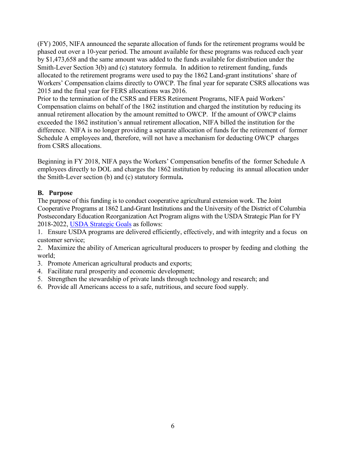(FY) 2005, NIFA announced the separate allocation of funds for the retirement programs would be phased out over a 10-year period. The amount available for these programs was reduced each year by \$1,473,658 and the same amount was added to the funds available for distribution under the Smith-Lever Section 3(b) and (c) statutory formula. In addition to retirement funding, funds allocated to the retirement programs were used to pay the 1862 Land-grant institutions' share of Workers' Compensation claims directly to OWCP. The final year for separate CSRS allocations was 2015 and the final year for FERS allocations was 2016.

Prior to the termination of the CSRS and FERS Retirement Programs, NIFA paid Workers' Compensation claims on behalf of the 1862 institution and charged the institution by reducing its annual retirement allocation by the amount remitted to OWCP. If the amount of OWCP claims exceeded the 1862 institution's annual retirement allocation, NIFA billed the institution for the difference. NIFA is no longer providing a separate allocation of funds for the retirement of former Schedule A employees and, therefore, will not have a mechanism for deducting OWCP charges from CSRS allocations.

Beginning in FY 2018, NIFA pays the Workers' Compensation benefits of the former Schedule A employees directly to DOL and charges the 1862 institution by reducing its annual allocation under the Smith-Lever section (b) and (c) statutory formula**.**

## <span id="page-5-0"></span>**B. Purpose**

The purpose of this funding is to conduct cooperative agricultural extension work. The Joint Cooperative Programs at 1862 Land-Grant Institutions and the University of the District of Columbia Postsecondary Education Reorganization Act Program aligns with the USDA Strategic Plan for FY 2018-2022, [USDA Strategic Goals](https://www.usda.gov/sites/default/files/documents/usda-strategic-plan-2018-2022.pdf) as follows:

1. Ensure USDA programs are delivered efficiently, effectively, and with integrity and a focus on customer service;

2. Maximize the ability of American agricultural producers to prosper by feeding and clothing the world;

3. Promote American agricultural products and exports;

- 4. Facilitate rural prosperity and economic development;
- 5. Strengthen the stewardship of private lands through technology and research; and
- 6. Provide all Americans access to a safe, nutritious, and secure food supply.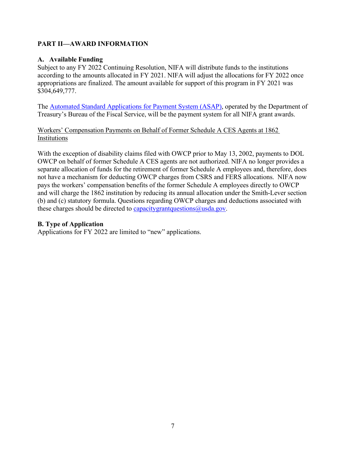## <span id="page-6-0"></span>**PART II—AWARD INFORMATION**

### <span id="page-6-1"></span>**A. Available Funding**

Subject to any FY 2022 Continuing Resolution, NIFA will distribute funds to the institutions according to the amounts allocated in FY 2021. NIFA will adjust the allocations for FY 2022 once appropriations are finalized. The amount available for support of this program in FY 2021 was \$304,649,777.

The [Automated Standard Applications for Payment System \(ASAP\),](https://www.fiscal.treasury.gov/asap/) operated by the Department of Treasury's Bureau of the Fiscal Service, will be the payment system for all NIFA grant awards.

Workers' Compensation Payments on Behalf of Former Schedule A CES Agents at 1862 Institutions

With the exception of disability claims filed with OWCP prior to May 13, 2002, payments to DOL OWCP on behalf of former Schedule A CES agents are not authorized. NIFA no longer provides a separate allocation of funds for the retirement of former Schedule A employees and, therefore, does not have a mechanism for deducting OWCP charges from CSRS and FERS allocations. NIFA now pays the workers' compensation benefits of the former Schedule A employees directly to OWCP and will charge the 1862 institution by reducing its annual allocation under the Smith-Lever section (b) and (c) statutory formula. Questions regarding OWCP charges and deductions associated with these charges should be directed to capacitygrantquestions  $@$ usda.gov.

## <span id="page-6-2"></span>**B. Type of Application**

Applications for FY 2022 are limited to "new" applications.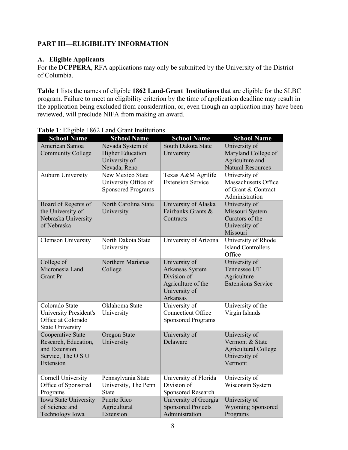## <span id="page-7-0"></span>**PART III—ELIGIBILITY INFORMATION**

#### <span id="page-7-1"></span>**A. Eligible Applicants**

For the **DCPPERA**, RFA applications may only be submitted by the University of the District of Columbia.

**Table 1** lists the names of eligible **1862 Land-Grant Institutions** that are eligible for the SLBC program. Failure to meet an eligibility criterion by the time of application deadline may result in the application being excluded from consideration, or, even though an application may have been reviewed, will preclude NIFA from making an award.

| <b>School Name</b>                                                                            | <b>School Name</b>                                                           | <b>School Name</b>                                                                                        | <b>School Name</b>                                                                          |
|-----------------------------------------------------------------------------------------------|------------------------------------------------------------------------------|-----------------------------------------------------------------------------------------------------------|---------------------------------------------------------------------------------------------|
| American Samoa<br><b>Community College</b>                                                    | Nevada System of<br><b>Higher Education</b><br>University of<br>Nevada, Reno | South Dakota State<br>University                                                                          | University of<br>Maryland College of<br>Agriculture and<br><b>Natural Resources</b>         |
| Auburn University                                                                             | New Mexico State<br>University Office of<br><b>Sponsored Programs</b>        | Texas A&M Agrilife<br><b>Extension Service</b>                                                            | University of<br>Massachusetts Office<br>of Grant & Contract<br>Administration              |
| Board of Regents of<br>the University of<br>Nebraska University<br>of Nebraska                | North Carolina State<br>University                                           | University of Alaska<br>Fairbanks Grants &<br>Contracts                                                   | University of<br>Missouri System<br>Curators of the<br>University of<br>Missouri            |
| <b>Clemson University</b>                                                                     | North Dakota State<br>University                                             | University of Arizona                                                                                     | University of Rhode<br><b>Island Controllers</b><br>Office                                  |
| College of<br>Micronesia Land<br><b>Grant Pr</b>                                              | Northern Marianas<br>College                                                 | University of<br>Arkansas System<br>Division of<br>Agriculture of the<br>University of<br><b>Arkansas</b> | University of<br>Tennessee UT<br>Agriculture<br><b>Extensions Service</b>                   |
| Colorado State<br>University President's<br>Office at Colorado<br><b>State University</b>     | Oklahoma State<br>University                                                 | University of<br>Connecticut Office<br><b>Sponsored Programs</b>                                          | University of the<br>Virgin Islands                                                         |
| Cooperative State<br>Research, Education,<br>and Extension<br>Service, The O S U<br>Extension | Oregon State<br>University                                                   | University of<br>Delaware                                                                                 | University of<br>Vermont & State<br><b>Agricultural College</b><br>University of<br>Vermont |
| <b>Cornell University</b><br>Office of Sponsored<br>Programs                                  | Pennsylvania State<br>University, The Penn<br><b>State</b>                   | University of Florida<br>Division of<br>Sponsored Research                                                | University of<br>Wisconsin System                                                           |
| Iowa State University<br>of Science and<br>Technology Iowa                                    | Puerto Rico<br>Agricultural<br>Extension                                     | University of Georgia<br><b>Sponsored Projects</b><br>Administration                                      | University of<br><b>Wyoming Sponsored</b><br>Programs                                       |

## **Table 1**: Eligible 1862 Land Grant Institutions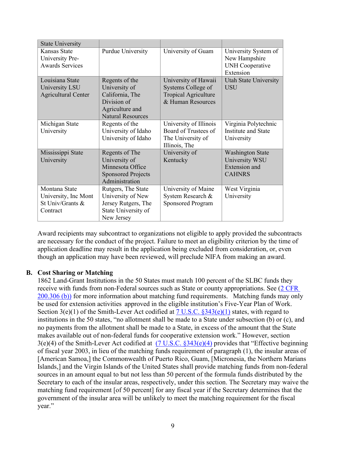| <b>State University</b>                                               |                                                                                                                  |                                                                                                |                                                                              |
|-----------------------------------------------------------------------|------------------------------------------------------------------------------------------------------------------|------------------------------------------------------------------------------------------------|------------------------------------------------------------------------------|
| Kansas State<br>University Pre-<br><b>Awards Services</b>             | Purdue University                                                                                                | University of Guam                                                                             | University System of<br>New Hampshire<br><b>UNH</b> Cooperative<br>Extension |
| Louisiana State<br>University LSU<br><b>Agricultural Center</b>       | Regents of the<br>University of<br>California, The<br>Division of<br>Agriculture and<br><b>Natural Resources</b> | University of Hawaii<br>Systems College of<br><b>Tropical Agriculture</b><br>& Human Resources | <b>Utah State University</b><br>USU                                          |
| Michigan State<br>University                                          | Regents of the<br>University of Idaho<br>University of Idaho                                                     | University of Illinois<br>Board of Trustees of<br>The University of<br>Illinois, The           | Virginia Polytechnic<br><b>Institute and State</b><br>University             |
| Mississippi State<br>University                                       | Regents of The<br>University of<br>Minnesota Office<br><b>Sponsored Projects</b><br>Administration               | University of<br>Kentucky                                                                      | <b>Washington State</b><br>University WSU<br>Extension and<br><b>CAHNRS</b>  |
| Montana State<br>University, Inc Mont<br>St Univ/Grants &<br>Contract | Rutgers, The State<br>University of New<br>Jersey Rutgers, The<br>State University of<br>New Jersey              | University of Maine<br>System Research &<br><b>Sponsored Program</b>                           | West Virginia<br>University                                                  |

Award recipients may subcontract to organizations not eligible to apply provided the subcontracts are necessary for the conduct of the project. Failure to meet an eligibility criterion by the time of application deadline may result in the application being excluded from consideration, or, even though an application may have been reviewed, will preclude NIFA from making an award.

#### **B. Cost Sharing or Matching**

<span id="page-8-0"></span>1862 Land-Grant Institutions in the 50 States must match 100 percent of the SLBC funds they receive with funds from non-Federal sources such as State or county appropriations. See [\(2 CFR](https://www.ecfr.gov/cgi-bin/text-idx?SID=2311eae93fb7d203f4885cf083558623&mc=true&node=pt2.1.200&rgn=div5#se2.1.200_1306)  [200.306 \(b\)\)](https://www.ecfr.gov/cgi-bin/text-idx?SID=2311eae93fb7d203f4885cf083558623&mc=true&node=pt2.1.200&rgn=div5#se2.1.200_1306) for more information about matching fund requirements. Matching funds may only be used for extension activities approved in the eligible institution's Five-Year Plan of Work. Section 3(e)(1) of the Smith-Lever Act codified at  $\frac{7 \text{ U.S.C. } }{343(e)(1)}$  states, with regard to institutions in the 50 states, "no allotment shall be made to a State under subsection (b) or (c), and no payments from the allotment shall be made to a State, in excess of the amount that the State makes available out of non-federal funds for cooperative extension work." However, section 3(e)(4) of the Smith-Lever Act codified at [\(7 U.S.C. §343\(e\)\(4\)](https://uscode.house.gov/view.xhtml?req=(title:7%20section:343%20edition:prelim)%20OR%20(granuleid:USC-prelim-title7-section343)&f=treesort&edition=prelim&num=0&jumpTo=true) provides that "Effective beginning of fiscal year 2003, in lieu of the matching funds requirement of paragraph (1), the insular areas of [American Samoa,] the Commonwealth of Puerto Rico, Guam, [Micronesia, the Northern Marians Islands,] and the Virgin Islands of the United States shall provide matching funds from non-federal sources in an amount equal to but not less than 50 percent of the formula funds distributed by the Secretary to each of the insular areas, respectively, under this section. The Secretary may waive the matching fund requirement [of 50 percent] for any fiscal year if the Secretary determines that the government of the insular area will be unlikely to meet the matching requirement for the fiscal year."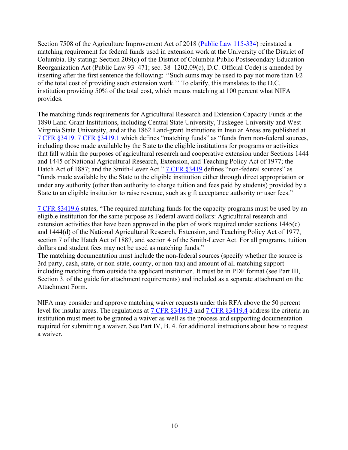Section 7508 of the Agriculture Improvement Act of 2018 [\(Public Law 115-334\)](https://uscode.house.gov/statutes/pl/115/334.pdf) reinstated a matching requirement for federal funds used in extension work at the University of the District of Columbia. By stating: Section 209(c) of the District of Columbia Public Postsecondary Education Reorganization Act (Public Law 93–471; sec. 38–1202.09(c), D.C. Official Code) is amended by inserting after the first sentence the following: ''Such sums may be used to pay not more than 1⁄2 of the total cost of providing such extension work.'' To clarify, this translates to the D.C. institution providing 50% of the total cost, which means matching at 100 percent what NIFA provides.

The matching funds requirements for Agricultural Research and Extension Capacity Funds at the 1890 Land-Grant Institutions, including Central State University, Tuskegee University and West Virginia State University, and at the 1862 Land-grant Institutions in Insular Areas are published at [7 CFR §3419.](https://www.ecfr.gov/cgi-bin/text-idx?SID=142a4fbf657b1eb26893aad32aa82e0b&mc=true&node=pt7.15.3419&rgn=div5) [7 CFR §3419.1](https://www.ecfr.gov/cgi-bin/text-idx?SID=142a4fbf657b1eb26893aad32aa82e0b&mc=true&node=pt7.15.3419&rgn=div5#se7.15.3419_11) which defines "matching funds" as "funds from non-federal sources, including those made available by the State to the eligible institutions for programs or activities that fall within the purposes of agricultural research and cooperative extension under Sections 1444 and 1445 of National Agricultural Research, Extension, and Teaching Policy Act of 1977; the Hatch Act of 1887; and the Smith-Lever Act." [7 CFR §3419](https://www.ecfr.gov/cgi-bin/text-idx?SID=142a4fbf657b1eb26893aad32aa82e0b&mc=true&node=pt7.15.3419&rgn=div5) defines "non-federal sources" as "funds made available by the State to the eligible institution either through direct appropriation or under any authority (other than authority to charge tuition and fees paid by students) provided by a State to an eligible institution to raise revenue, such as gift acceptance authority or user fees."

[7 CFR §3419.6](https://www.ecfr.gov/cgi-bin/text-idx?SID=142a4fbf657b1eb26893aad32aa82e0b&mc=true&node=pt7.15.3419&rgn=div5#se7.15.3419_16) states, "The required matching funds for the capacity programs must be used by an eligible institution for the same purpose as Federal award dollars: Agricultural research and extension activities that have been approved in the plan of work required under sections 1445(c) and 1444(d) of the National Agricultural Research, Extension, and Teaching Policy Act of 1977, section 7 of the Hatch Act of 1887, and section 4 of the Smith-Lever Act. For all programs, tuition dollars and student fees may not be used as matching funds."

The matching documentation must include the non-federal sources (specify whether the source is 3rd party, cash, state, or non-state, county, or non-tax) and amount of all matching support including matching from outside the applicant institution. It must be in PDF format (see Part III, Section 3. of the guide for attachment requirements) and included as a separate attachment on the Attachment Form.

NIFA may consider and approve matching waiver requests under this RFA above the 50 percent level for insular areas. The regulations at [7 CFR §3419.3](https://www.ecfr.gov/cgi-bin/text-idx?SID=142a4fbf657b1eb26893aad32aa82e0b&mc=true&node=pt7.15.3419&rgn=div5#se7.15.3419_13) and [7 CFR §3419.4](https://www.ecfr.gov/cgi-bin/text-idx?SID=142a4fbf657b1eb26893aad32aa82e0b&mc=true&node=pt7.15.3419&rgn=div5#se7.15.3419_14) address the criteria an institution must meet to be granted a waiver as well as the process and supporting documentation required for submitting a waiver. See Part IV, B. 4. for additional instructions about how to request a waiver.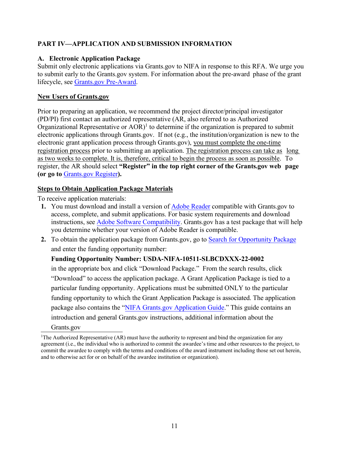## <span id="page-10-0"></span>**PART IV—APPLICATION AND SUBMISSION INFORMATION**

### <span id="page-10-1"></span>**A. Electronic Application Package**

Submit only electronic applications via Grants.gov to NIFA in response to this RFA. We urge you to submit early to the Grants.gov system. For information about the pre-award phase of the grant lifecycle, see [Grants.gov Pre-Award.](http://www.grants.gov/web/grants/learn-grants/grants-101/pre-award-phase.html)

### **New Users of Grants.gov**

Prior to preparing an application, we recommend the project director/principal investigator (PD/PI) first contact an authorized representative (AR, also referred to as Authorized Organizational Representative or  $AOR$ <sup>1</sup> to determine if the organization is prepared to submit electronic applications through Grants.gov. If not (e.g., the institution/organization is new to the electronic grant application process through Grants.gov), you must complete the one-time registration process prior to submitting an application. The registration process can take as long as two weeks to complete. It is, therefore, critical to begin the process as soon as possible. To register, the AR should select **"Register" in the top right corner of the Grants.gov web page (or go to** [Grants.gov Register](https://www.grants.gov/web/grants/register.html)**).**

## **Steps to Obtain Application Package Materials**

To receive application materials:

- **1.** You must download and install a version of [Adobe Reader](https://get.adobe.com/reader/) compatible with Grants.gov to access, complete, and submit applications. For basic system requirements and download instructions, se[e Adobe Software Compatibility.](https://www.grants.gov/applicants/adobe-software-compatibility.html) Grants.gov has a test package that will help you determine whether your version of Adobe Reader is compatible.
- **2.** To obtain the application package from Grants.gov, go to [Search for Opportunity Package](https://www.grants.gov/web/grants/applicants/download-application-package.html) and enter the funding opportunity number:

## **Funding Opportunity Number: USDA-NIFA-10511-SLBCDXXX-22-0002**

in the appropriate box and click "Download Package." From the search results, click "Download" to access the application package. A Grant Application Package is tied to a particular funding opportunity. Applications must be submitted ONLY to the particular funding opportunity to which the Grant Application Package is associated. The application package also contains the "NIFA Grants.gov [Application Guide."](https://apply07.grants.gov/apply/opportunities/instructions/PKG00249520-instructions.pdf) This guide contains an introduction and general Grants.gov instructions, additional information about the

Grants.gov

<span id="page-10-2"></span><sup>&</sup>lt;sup>1</sup>The Authorized Representative (AR) must have the authority to represent and bind the organization for any agreement (i.e., the individual who is authorized to commit the awardee's time and other resources to the project, to commit the awardee to comply with the terms and conditions of the award instrument including those set out herein, and to otherwise act for or on behalf of the awardee institution or organization).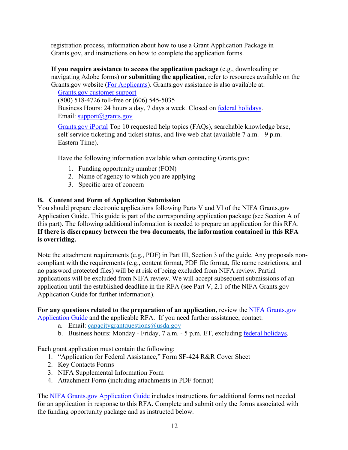registration process, information about how to use a Grant Application Package in Grants.gov, and instructions on how to complete the application forms.

**If you require assistance to access the application package** (e.g., downloading or navigating Adobe forms) **or submitting the application,** refer to resources available on the Grants.gov website [\(For Applicants\)](https://www.grants.gov/web/grants/applicants.html). Grants.gov assistance is also available at:

Grants.gov [customer support](https://www.grants.gov/web/grants/support.html) (800) 518-4726 toll-free or (606) 545-5035 Business Hours: 24 hours a day, 7 days a week. Closed on **federal holidays**. Email: [support@grants.gov](mailto:support@grants.gov)

[Grants.gov iPortal](https://gditshared.servicenowservices.com/hhs_grants?pt=Grants) Top 10 requested help topics (FAQs), searchable knowledge base, self-service ticketing and ticket status, and live web chat (available 7 a.m. - 9 p.m. Eastern Time).

Have the following information available when contacting Grants.gov:

- 1. Funding opportunity number (FON)
- 2. Name of agency to which you are applying
- 3. Specific area of concern

## <span id="page-11-0"></span>**B. Content and Form of Application Submission**

You should prepare electronic applications following Parts V and VI of the NIFA Grants.gov Application Guide. This guide is part of the corresponding application package (see Section A of this part). The following additional information is needed to prepare an application for this RFA. **If there is discrepancy between the two documents, the information contained in this RFA is overriding.**

Note the attachment requirements (e.g., PDF) in Part III, Section 3 of the guide. Any proposals noncompliant with the requirements (e.g., content format, PDF file format, file name restrictions, and no password protected files) will be at risk of being excluded from NIFA review. Partial applications will be excluded from NIFA review. We will accept subsequent submissions of an application until the established deadline in the RFA (see Part V, 2.1 of the NIFA Grants.gov Application Guide for further information).

**For any questions related to the preparation of an application,** review the [NIFA Grants.gov](https://apply07.grants.gov/apply/opportunities/instructions/PKG00249520-instructions.pdf)

- [Application](https://apply07.grants.gov/apply/opportunities/instructions/PKG00249520-instructions.pdf) Guide and the applicable RFA. If you need further assistance, contact:
	- a. Email: capacitygrantquestions $@$ usda.gov
	- b. Business hours: Monday Friday, 7 a.m. 5 p.m. ET, excluding federal [holidays.](http://www.opm.gov/policy-data-oversight/snow-dismissal-procedures/federal-holidays/)

Each grant application must contain the following:

- 1. "Application for Federal Assistance," Form SF-424 R&R Cover Sheet
- 2. Key Contacts Forms
- 3. NIFA Supplemental Information Form
- 4. Attachment Form (including attachments in PDF format)

The [NIFA Grants.gov Application Guide](https://apply07.grants.gov/apply/opportunities/instructions/PKG00249520-instructions.pdf) includes instructions for additional forms not needed for an application in response to this RFA. Complete and submit only the forms associated with the funding opportunity package and as instructed below.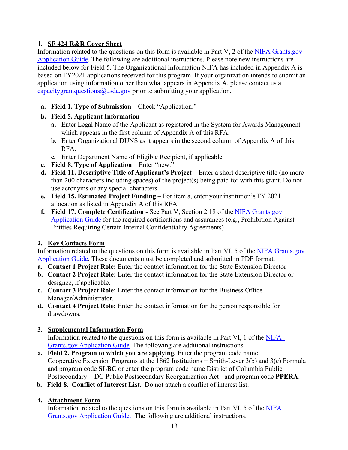## **1. SF 424 R&R Cover Sheet**

Information related to the questions on this form is available in Part V, 2 of the [NIFA Grants.gov](https://apply07.grants.gov/apply/opportunities/instructions/PKG00249520-instructions.pdf)  [Application Guide.](https://apply07.grants.gov/apply/opportunities/instructions/PKG00249520-instructions.pdf) The following are additional instructions. Please note new instructions are included below for Field 5. The Organizational Information NIFA has included in Appendix A is based on FY2021 applications received for this program. If your organization intends to submit an application using information other than what appears in Appendix A, please contact us at capacitygrantquestions  $\omega$ usda.gov prior to submitting your application.

**a. Field 1. Type of Submission** – Check "Application."

## **b. Field 5. Applicant Information**

- **a.** Enter Legal Name of the Applicant as registered in the System for Awards Management which appears in the first column of Appendix A of this RFA.
- **b.** Enter Organizational DUNS as it appears in the second column of Appendix A of this RFA.
- **c.** Enter Department Name of Eligible Recipient, if applicable.
- **c. Field 8. Type of Application** Enter "new."
- **d. Field 11. Descriptive Title of Applicant's Project** Enter a short descriptive title (no more than 200 characters including spaces) of the project(s) being paid for with this grant. Do not use acronyms or any special characters.
- **e. Field 15. Estimated Project Funding** For item a, enter your institution's FY 2021 allocation as listed in Appendix A of this RFA
- **f. Field 17. Complete Certification** See Part V, Section 2.18 of the [NIFA Grants.gov](https://apply07.grants.gov/apply/opportunities/instructions/PKG00249520-instructions.pdf) [Application Guide](https://apply07.grants.gov/apply/opportunities/instructions/PKG00249520-instructions.pdf) for the required certifications and assurances (e.g., Prohibition Against Entities Requiring Certain Internal Confidentiality Agreements)

## **2. Key Contacts Form**

Information related to the questions on this form is available in Part VI, 5 of the NIFA Grants.gov [Application Guide.](https://apply07.grants.gov/apply/opportunities/instructions/PKG00249520-instructions.pdf) These documents must be completed and submitted in PDF format.

- **a. Contact 1 Project Role:** Enter the contact information for the State Extension Director
- **b. Contact 2 Project Role:** Enter the contact information for the State Extension Director or designee, if applicable.
- **c. Contact 3 Project Role:** Enter the contact information for the Business Office Manager/Administrator.
- **d. Contact 4 Project Role:** Enter the contact information for the person responsible for drawdowns.

## **3. Supplemental Information Form**

Information related to the questions on this form is available in Part VI, 1 of the [NIFA](https://apply07.grants.gov/apply/opportunities/instructions/PKG00249520-instructions.pdf) Grants.gov [Application Guide.](https://apply07.grants.gov/apply/opportunities/instructions/PKG00249520-instructions.pdf) The following are additional instructions.

- **a. Field 2. Program to which you are applying.** Enter the program code name Cooperative Extension Programs at the 1862 Institutions = Smith-Lever 3(b) and 3(c) Formula and program code **SLBC** or enter the program code name District of Columbia Public Postsecondary = DC Public Postsecondary Reorganization Act - and program code **PPERA**.
- **b. Field 8. Conflict of Interest List**. Do not attach a conflict of interest list.

## **4. Attachment Form**

Information related to the questions on this form is available in Part VI, 5 of the [NIFA](https://apply07.grants.gov/apply/opportunities/instructions/PKG00249520-instructions.pdf) Grants.gov [Application Guide.](https://apply07.grants.gov/apply/opportunities/instructions/PKG00249520-instructions.pdf) The following are additional instructions.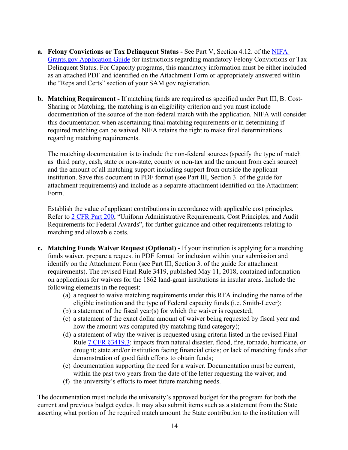- **a. Felony Convictions or Tax Delinquent Status** See Part V, Section 4.12. of the [NIFA](https://apply07.grants.gov/apply/opportunities/instructions/PKG00249520-instructions.pdf)  [Grants.gov Application Guide](https://apply07.grants.gov/apply/opportunities/instructions/PKG00249520-instructions.pdf) for instructions regarding mandatory Felony Convictions or Tax Delinquent Status. For Capacity programs, this mandatory information must be either included as an attached PDF and identified on the Attachment Form or appropriately answered within the "Reps and Certs" section of your SAM.gov registration.
- **b. Matching Requirement** If matching funds are required as specified under Part III, B. Cost-Sharing or Matching, the matching is an eligibility criterion and you must include documentation of the source of the non-federal match with the application. NIFA will consider this documentation when ascertaining final matching requirements or in determining if required matching can be waived. NIFA retains the right to make final determinations regarding matching requirements.

The matching documentation is to include the non-federal sources (specify the type of match as third party, cash, state or non-state, county or non-tax and the amount from each source) and the amount of all matching support including support from outside the applicant institution. Save this document in PDF format (see Part III, Section 3. of the guide for attachment requirements) and include as a separate attachment identified on the Attachment Form.

Establish the value of applicant contributions in accordance with applicable cost principles. Refer to [2 CFR Part 200,](https://www.ecfr.gov/cgi-bin/text-idx?SID=790ba2c54c3ead59a6decec19b86d4b1&mc=true&node=pt2.1.200&rgn=div5#se2.1.200_10) "Uniform Administrative Requirements, Cost Principles, and Audit Requirements for Federal Awards", for further guidance and other requirements relating to matching and allowable costs.

- **c. Matching Funds Waiver Request (Optional)** If your institution is applying for a matching funds waiver, prepare a request in PDF format for inclusion within your submission and identify on the Attachment Form (see Part III, Section 3. of the guide for attachment requirements). The revised Final Rule 3419, published May 11, 2018, contained information on applications for waivers for the 1862 land-grant institutions in insular areas. Include the following elements in the request:
	- (a) a request to waive matching requirements under this RFA including the name of the eligible institution and the type of Federal capacity funds (i.e. Smith-Lever);
	- (b) a statement of the fiscal year(s) for which the waiver is requested;
	- (c) a statement of the exact dollar amount of waiver being requested by fiscal year and how the amount was computed (by matching fund category);
	- (d) a statement of why the waiver is requested using criteria listed in the revised Final Rule [7 CFR §3419.3:](https://www.ecfr.gov/cgi-bin/text-idx?SID=8f001f4fb20a650f220abf2e127669a7&mc=true&node=pt7.15.3419&rgn=div5#se7.15.3419_13) impacts from natural disaster, flood, fire, tornado, hurricane, or drought; state and/or institution facing financial crisis; or lack of matching funds after demonstration of good faith efforts to obtain funds;
	- (e) documentation supporting the need for a waiver. Documentation must be current, within the past two years from the date of the letter requesting the waiver; and
	- (f) the university's efforts to meet future matching needs.

The documentation must include the university's approved budget for the program for both the current and previous budget cycles. It may also submit items such as a statement from the State asserting what portion of the required match amount the State contribution to the institution will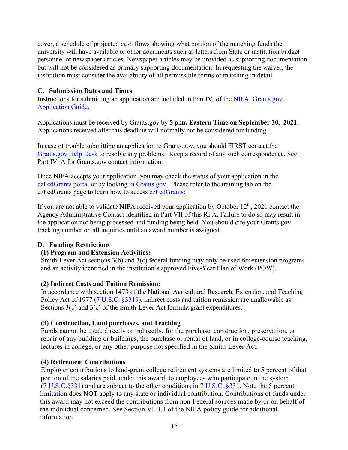cover, a schedule of projected cash flows showing what portion of the matching funds the university will have available or other documents such as letters from State or institution budget personnel or newspaper articles. Newspaper articles may be provided as supporting documentation but will not be considered as primary supporting documentation. In requesting the waiver, the institution must consider the availability of all permissible forms of matching in detail.

#### <span id="page-14-0"></span>**C. Submission Dates and Times**

Instructions for submitting an application are included in Part IV, of the NIFA [Grants.gov](https://apply07.grants.gov/apply/opportunities/instructions/PKG00249520-instructions.pdf) [Application](https://apply07.grants.gov/apply/opportunities/instructions/PKG00249520-instructions.pdf) Guide.

Applications must be received by Grants.gov by **5 p.m. Eastern Time on September 30, 2021**. Applications received after this deadline will normally not be considered for funding.

In case of trouble submitting an application to Grants.gov, you should FIRST contact the [Grants.gov Help Desk](https://www.grants.gov/web/grants/support.html) to resolve any problems. Keep a record of any such correspondence. See Part IV, A for Grants.gov contact information.

Once NIFA accepts your application, you may check the status of your application in the [ezFedGrants portal](https://nfc.usda.gov/FSS/ClientServices/ezFedGrants/index.php) or by looking in [Grants.gov.](https://www.grants.gov/web/grants/support.html) Please refer to the training tab on the ezFedGrants page to learn how to access [ezFedGrants:](https://www.nfc.usda.gov/FSS/ClientServices/ezFedGrants/) 

If you are not able to validate NIFA received your application by October  $12<sup>th</sup>$ , 2021 contact the Agency Administrative Contact identified in Part VII of this RFA. Failure to do so may result in the application not being processed and funding being held. You should cite your Grants.gov tracking number on all inquiries until an award number is assigned.

#### <span id="page-14-1"></span>**D. Funding Restrictions**

#### **(1) Program and Extension Activities:**

Smith-Lever Act sections 3(b) and 3(c) federal funding may only be used for extension programs and an activity identified in the institution's approved Five-Year Plan of Work (POW).

#### **(2) Indirect Costs and Tuition Remission:**

In accordance with section 1473 of the National Agricultural Research, Extension, and Teaching Policy Act of 1977 [\(7 U.S.C. §3319\)](https://uscode.house.gov/view.xhtml?req=(title:7%20section:3319%20edition:prelim)%20OR%20(granuleid:USC-prelim-title7-section3319)&f=treesort&edition=prelim&num=0&jumpTo=truee), indirect costs and tuition remission are unallowable as Sections 3(b) and 3(c) of the Smith-Lever Act formula grant expenditures.

#### **(3) Construction, Land purchases, and Teaching**

Funds cannot be used, directly or indirectly, for the purchase, construction, preservation, or repair of any building or buildings, the purchase or rental of land, or in college-course teaching, lectures in college, or any other purpose not specified in the Smith-Lever Act.

#### **(4) Retirement Contributions**

Employer contributions to land-grant college retirement systems are limited to 5 percent of that portion of the salaries paid, under this award, to employees who participate in the system [\(7 U.S.C.§331\)](https://uscode.house.gov/view.xhtml?req=(title:7%20section:331%20edition:prelim)%20OR%20(granuleid:USC-prelim-title7-section331)&f=treesort&edition=prelim&num=0&jumpTo=true) and are subject to the other conditions in [7 U.S.C. §331.](https://uscode.house.gov/view.xhtml?req=(title:7%20section:331%20edition:prelim)%20OR%20(granuleid:USC-prelim-title7-section331)&f=treesort&edition=prelim&num=0&jumpTo=true) Note the 5 percent limitation does NOT apply to any state or individual contribution. Contributions of funds under this award may not exceed the contributions from non-Federal sources made by or on behalf of the individual concerned. See Section VI.H.1 of the [NIFA policy guide](https://nifa.usda.gov/policy-guide) for additional information.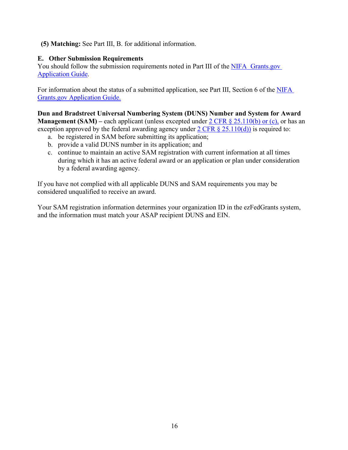**(5) Matching:** See Part III, B. for additional information.

### <span id="page-15-0"></span>**E. Other Submission Requirements**

You should follow the submission requirements noted in Part III of the NIFA [Grants.gov](https://apply07.grants.gov/apply/opportunities/instructions/PKG00249520-instructions.pdf) [Application](https://apply07.grants.gov/apply/opportunities/instructions/PKG00249520-instructions.pdf) Guide.

For information about the status of a submitted application, see Part III, Section 6 of the NIFA [Grants.gov Application Guide.](https://apply07.grants.gov/apply/opportunities/instructions/PKG00249520-instructions.pdf) 

**Dun and Bradstreet Universal Numbering System (DUNS) Number and System for Award Management (SAM)** – each applicant (unless excepted under [2 CFR § 25.110\(b\) or \(c\),](https://www.ecfr.gov/cgi-bin/text-idx?SID=58b61a8ffcece15d7b241207202514f1&mc=true&node=pt2.1.25&rgn=div5#se2.1.25_1110) or has an exception approved by the federal awarding agency under  $2 \text{ CFR } \frac{8}{5}$  25.110(d)) is required to:

- a. be registered in SAM before submitting its application;
- b. provide a valid DUNS number in its application; and
- c. continue to maintain an active SAM registration with current information at all times during which it has an active federal award or an application or plan under consideration by a federal awarding agency.

If you have not complied with all applicable DUNS and SAM requirements you may be considered unqualified to receive an award.

Your SAM registration information determines your organization ID in the ezFedGrants system, and the information must match your ASAP recipient DUNS and EIN.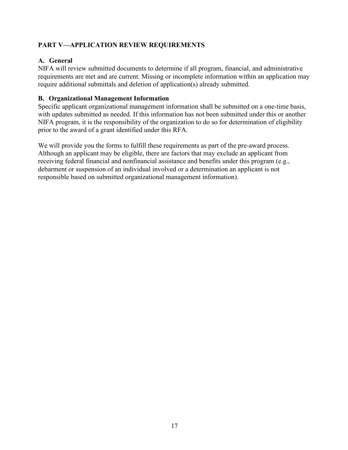## <span id="page-16-0"></span>**PART V—APPLICATION REVIEW REQUIREMENTS**

## <span id="page-16-1"></span>**A. General**

NIFA will review submitted documents to determine if all program, financial, and administrative requirements are met and are current. Missing or incomplete information within an application may require additional submittals and deletion of application(s) already submitted.

## <span id="page-16-2"></span>**B. Organizational Management Information**

Specific applicant organizational management information shall be submitted on a one-time basis, with updates submitted as needed. If this information has not been submitted under this or another NIFA program, it is the responsibility of the organization to do so for determination of eligibility prior to the award of a grant identified under this RFA.

We will provide you the forms to fulfill these requirements as part of the pre-award process. Although an applicant may be eligible, there are factors that may exclude an applicant from receiving federal financial and nonfinancial assistance and benefits under this program (e.g., debarment or suspension of an individual involved or a determination an applicant is not responsible based on submitted organizational management information).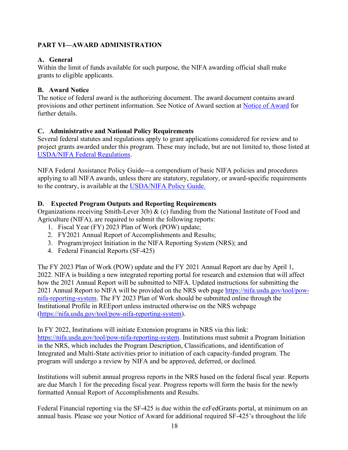## <span id="page-17-0"></span>**PART VI—AWARD ADMINISTRATION**

## <span id="page-17-1"></span>**A. General**

Within the limit of funds available for such purpose, the NIFA awarding official shall make grants to eligible applicants.

## <span id="page-17-2"></span>**B. Award Notice**

The notice of federal award is the authorizing document. The award document contains award provisions and other pertinent information. See Notice of Award section at [Notice of Award](https://nifa.usda.gov/wait-notification) for further details.

## <span id="page-17-3"></span>**C. Administrative and National Policy Requirements**

Several federal statutes and regulations apply to grant applications considered for review and to project grants awarded under this program. These may include, but are not limited to, those listed at [USDA/NIFA Federal Regulations.](https://nifa.usda.gov/federal-regulations)

NIFA Federal Assistance Policy Guide**—**a compendium of basic NIFA policies and procedures applying to all NIFA awards, unless there are statutory, regulatory, or award-specific requirements to the contrary, is available at the [USDA/NIFA Policy Guide.](https://nifa.usda.gov/policy-guide)

## <span id="page-17-4"></span>**D. Expected Program Outputs and Reporting Requirements**

Organizations receiving Smith-Lever 3(b) & (c) funding from the National Institute of Food and Agriculture (NIFA), are required to submit the following reports:

- 1. Fiscal Year (FY) 2023 Plan of Work (POW) update;
- 2. FY2021 Annual Report of Accomplishments and Results;
- 3. Program/project Initiation in the NIFA Reporting System (NRS); and
- 4. Federal Financial Reports (SF-425)

The FY 2023 Plan of Work (POW) update and the FY 2021 Annual Report are due by April 1, 2022. NIFA is building a new integrated reporting portal for research and extension that will affect how the 2021 Annual Report will be submitted to NIFA. Updated instructions for submitting the 2021 Annual Report to NIFA will be provided on the NRS web page [https://nifa.usda.gov/tool/pow](https://nifa.usda.gov/tool/pow-nifa-reporting-system)[nifa-reporting-system.](https://nifa.usda.gov/tool/pow-nifa-reporting-system) The FY 2023 Plan of Work should be submitted online through the Institutional Profile in REEport unless instructed otherwise on the NRS webpage [\(https://nifa.usda.gov/tool/pow-nifa-reporting-system\)](https://nifa.usda.gov/tool/pow-nifa-reporting-system).

In FY 2022, Institutions will initiate Extension programs in NRS via this link: [https://nifa.usda.gov/tool/pow-nifa-reporting-system.](https://nifa.usda.gov/tool/pow-nifa-reporting-system) Institutions must submit a Program Initiation in the NRS, which includes the Program Description, Classifications, and identification of Integrated and Multi-State activities prior to initiation of each capacity-funded program. The program will undergo a review by NIFA and be approved, deferred, or declined.

Institutions will submit annual progress reports in the NRS based on the federal fiscal year. Reports are due March 1 for the preceding fiscal year. Progress reports will form the basis for the newly formatted Annual Report of Accomplishments and Results.

Federal Financial reporting via the SF-425 is due within the ezFedGrants portal, at minimum on an annual basis. Please see your Notice of Award for additional required SF-425's throughout the life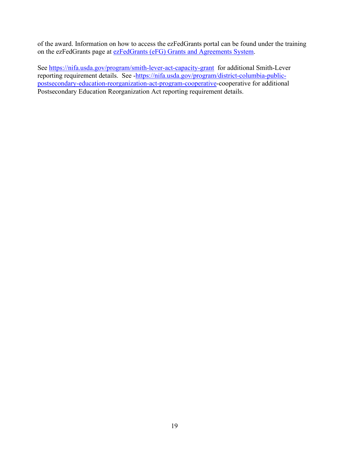of the award. Information on how to access the ezFedGrants portal can be found under the training on the ezFedGrants page at [ezFedGrants \(eFG\) Grants and Agreements System.](https://www.nfc.usda.gov/FSS/ClientServices/ezFedGrants/)

See<https://nifa.usda.gov/program/smith-lever-act-capacity-grant>for additional Smith-Lever reporting requirement details. See [-https://nifa.usda.gov/program/district-columbia-public](https://nifa.usda.gov/program/district-columbia-public-postsecondary-education-reorganization-act-program-cooperative)[postsecondary-education-reorganization-act-program-cooperative-](https://nifa.usda.gov/program/district-columbia-public-postsecondary-education-reorganization-act-program-cooperative)cooperative for additional Postsecondary Education Reorganization Act reporting requirement details.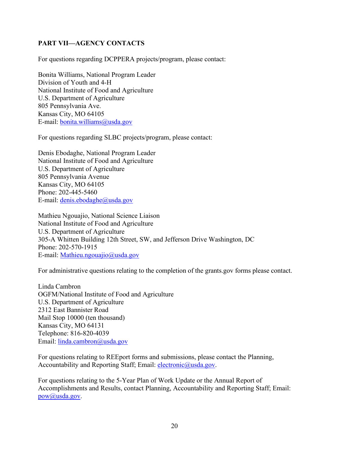## <span id="page-19-0"></span>**PART VII—AGENCY CONTACTS**

For questions regarding DCPPERA projects/program, please contact:

Bonita Williams, National Program Leader Division of Youth and 4-H National Institute of Food and Agriculture U.S. Department of Agriculture 805 Pennsylvania Ave. Kansas City, MO 64105 E-mail: [bonita.williams@usda.gov](mailto:bonita.williams@usda.gov)

For questions regarding SLBC projects/program, please contact:

Denis Ebodaghe, National Program Leader National Institute of Food and Agriculture U.S. Department of Agriculture 805 Pennsylvania Avenue Kansas City, MO 64105 Phone: 202-445-5460 E-mail: [denis.ebodaghe@usda.gov](mailto:denis.ebodaghe@usda.gov) 

Mathieu Ngouajio, National Science Liaison National Institute of Food and Agriculture U.S. Department of Agriculture 305-A Whitten Building 12th Street, SW, and Jefferson Drive Washington, DC Phone: 202-570-1915 E-mail: [Mathieu.ngouajio@usda.gov](mailto:Mathieu.ngouajio@usda.gov)

For administrative questions relating to the completion of the grants.gov forms please contact.

Linda Cambron OGFM/National Institute of Food and Agriculture U.S. Department of Agriculture 2312 East Bannister Road Mail Stop 10000 (ten thousand) Kansas City, MO 64131 Telephone: 816-820-4039 Email: [linda.cambron@usda.gov](mailto:linda.cambron@usda.gov)

For questions relating to REEport forms and submissions, please contact the Planning, Accountability and Reporting Staff; Email: [electronic@usda.gov.](mailto:electronic@usda.gov)

For questions relating to the 5-Year Plan of Work Update or the Annual Report of Accomplishments and Results, contact Planning, Accountability and Reporting Staff; Email: [pow@usda.gov.](mailto:pow@usda.gov)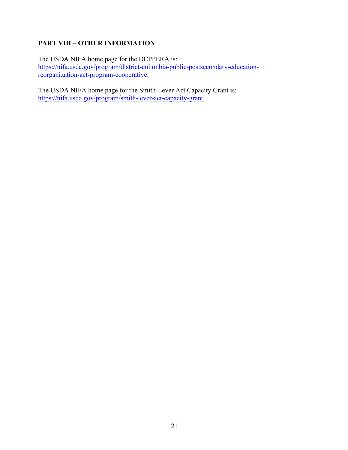## <span id="page-20-0"></span>**PART VIII – OTHER INFORMATION**

The USDA NIFA home page for the DCPPERA is: [https://nifa.usda.gov/program/district-columbia-public-postsecondary-education](https://nifa.usda.gov/program/district-columbia-public-postsecondary-education-reorganization-act-program-cooperative)[reorganization-act-program-cooperative.](https://nifa.usda.gov/program/district-columbia-public-postsecondary-education-reorganization-act-program-cooperative)

The USDA NIFA home page for the Smith-Lever Act Capacity Grant is: [https://nifa.usda.gov/program/smith-lever-act-capacity-grant.](https://nifa.usda.gov/program/smith-lever-act-capacity-grant)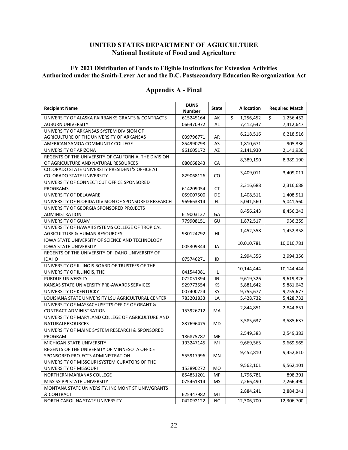#### **UNITED STATES DEPARTMENT OF AGRICULTURE National Institute of Food and Agriculture**

#### <span id="page-21-0"></span>**FY 2021 Distribution of Funds to Eligible Institutions for Extension Activities Authorized under the Smith-Lever Act and the D.C. Postsecondary Education Re-organization Act**

| <b>Recipient Name</b>                                           | <b>DUNS</b><br><b>Number</b> | <b>State</b> | <b>Allocation</b> | <b>Required Match</b> |
|-----------------------------------------------------------------|------------------------------|--------------|-------------------|-----------------------|
| UNIVERSITY OF ALASKA FAIRBANKS GRANTS & CONTRACTS               | 615245164                    | AK           | Ś.<br>1,256,452   | \$<br>1,256,452       |
| <b>AUBURN UNIVERSITY</b>                                        | 066470972                    | AL           | 7,412,647         | 7,412,647             |
| UNIVERSITY OF ARKANSAS SYSTEM DIVISION OF                       |                              |              |                   |                       |
| AGRICULTURE OF THE UNIVERSITY OF ARKANSAS                       | 039796771                    | AR           | 6,218,516         | 6,218,516             |
| AMERICAN SAMOA COMMUNITY COLLEGE                                | 854990793                    | AS           | 1,810,671         | 905,336               |
| UNIVERSITY OF ARIZONA                                           | 961605172                    | AZ           | 2,141,930         | 2,141,930             |
| REGENTS OF THE UNIVERSITY OF CALIFORNIA, THE DIVISION           |                              |              |                   |                       |
| OF AGRICULTURE AND NATURAL RESOURCES                            | 080668243                    | CA           | 8,389,190         | 8,389,190             |
| COLORADO STATE UNIVERSITY PRESIDENT'S OFFICE AT                 |                              |              | 3,409,011         | 3,409,011             |
| <b>COLORADO STATE UNIVERSITY</b>                                | 829068126                    | CO           |                   |                       |
| UNIVERSITY OF CONNECTICUT OFFICE SPONSORED                      |                              |              | 2,316,688         | 2,316,688             |
| <b>PROGRAMS</b>                                                 | 614209054                    | <b>CT</b>    |                   |                       |
| UNIVERSITY OF DELAWARE                                          | 059007500                    | DE           | 1,408,511         | 1,408,511             |
| UNIVERSITY OF FLORIDA DIVISION OF SPONSORED RESEARCH            | 969663814                    | FL.          | 5,041,560         | 5,041,560             |
| UNIVERSITY OF GEORGIA SPONSORED PROJECTS                        |                              |              | 8,456,243         | 8,456,243             |
| ADMINISTRATION                                                  | 619003127                    | GА           |                   |                       |
| UNIVERSITY OF GUAM                                              | 779908151                    | GU           | 1,872,517         | 936,259               |
| UNIVERSITY OF HAWAII SYSTEMS COLLEGE OF TROPICAL                |                              |              | 1,452,358         | 1,452,358             |
| <b>AGRICULTURE &amp; HUMAN RESOURCES</b>                        | 930124792                    | HI           |                   |                       |
| IOWA STATE UNIVERSITY OF SCIENCE AND TECHNOLOGY                 |                              |              | 10,010,781        | 10,010,781            |
| <b>IOWA STATE UNIVERSITY</b>                                    | 005309844                    | IA           |                   |                       |
| REGENTS OF THE UNIVERSITY OF IDAHO UNIVERSITY OF                |                              |              | 2,994,356         | 2,994,356             |
| <b>IDAHO</b><br>UNIVERSITY OF ILLINOIS BOARD OF TRUSTEES OF THE | 075746271                    | ID           |                   |                       |
| UNIVERSITY OF ILLINOIS, THE                                     | 041544081                    | IL           | 10,144,444        | 10,144,444            |
| <b>PURDUE UNIVERSITY</b>                                        | 072051394                    | IN           | 9,619,326         | 9,619,326             |
| KANSAS STATE UNIVERSITY PRE-AWARDS SERVICES                     | 929773554                    | KS           | 5,881,642         | 5,881,642             |
| UNIVERSITY OF KENTUCKY                                          | 007400724                    | KY           | 9,755,677         | 9,755,677             |
| LOUISIANA STATE UNIVERSITY LSU AGRICULTURAL CENTER              | 783201833                    | LA           | 5,428,732         | 5,428,732             |
| UNIVERSITY OF MASSACHUSETTS OFFICE OF GRANT &                   |                              |              |                   |                       |
| CONTRACT ADMINISTRATION                                         | 153926712                    | МA           | 2,844,851         | 2,844,851             |
| UNIVERSITY OF MARYLAND COLLEGE OF AGRICULTURE AND               |                              |              |                   |                       |
| NATURALRESOURCES                                                | 837696475                    | MD           | 3,585,637         | 3,585,637             |
| UNIVERSITY OF MAINE SYSTEM RESEARCH & SPONSORED                 |                              |              |                   |                       |
| PROGRAM                                                         | 186875787                    | МE           | 2,549,383         | 2,549,383             |
| MICHIGAN STATE UNIVERSITY                                       | 193247145                    | MI           | 9,669,565         | 9,669,565             |
| REGENTS OF THE UNIVERSITY OF MINNESOTA OFFICE                   |                              |              |                   |                       |
| SPONSORED PROJECTS ADMINISTRATION                               | 555917996                    | MN           | 9,452,810         | 9,452,810             |
| UNIVERSITY OF MISSOURI SYSTEM CURATORS OF THE                   |                              |              |                   |                       |
| UNIVERSITY OF MISSOURI                                          | 153890272                    | МO           | 9,562,101         | 9,562,101             |
| NORTHERN MARIANAS COLLEGE                                       | 854851201                    | MP           | 1,796,781         | 898,391               |
| MISSISSIPPI STATE UNIVERSITY                                    | 075461814                    | MS           | 7,266,490         | 7,266,490             |
| MONTANA STATE UNIVERSITY, INC MONT ST UNIV/GRANTS               |                              |              | 2,884,241         | 2,884,241             |
| & CONTRACT                                                      | 625447982                    | МT           |                   |                       |
| NORTH CAROLINA STATE UNIVERSITY                                 | 042092122                    | ΝC           | 12,306,700        | 12,306,700            |

#### **Appendix A - Final**